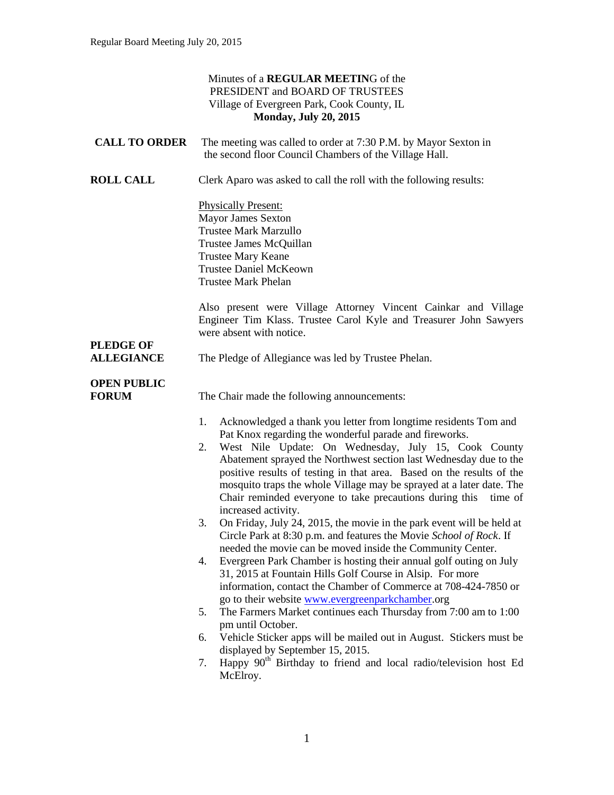#### Minutes of a **REGULAR MEETIN**G of the PRESIDENT and BOARD OF TRUSTEES Village of Evergreen Park, Cook County, IL **Monday, July 20, 2015 CALL TO ORDER** The meeting was called to order at 7:30 P.M. by Mayor Sexton in the second floor Council Chambers of the Village Hall. **ROLL CALL** Clerk Aparo was asked to call the roll with the following results: Physically Present: Mayor James Sexton Trustee Mark Marzullo Trustee James McQuillan Trustee Mary Keane Trustee Daniel McKeown Trustee Mark Phelan Also present were Village Attorney Vincent Cainkar and Village Engineer Tim Klass. Trustee Carol Kyle and Treasurer John Sawyers were absent with notice. **PLEDGE OF ALLEGIANCE** The Pledge of Allegiance was led by Trustee Phelan. **OPEN PUBLIC FORUM** The Chair made the following announcements: 1. Acknowledged a thank you letter from longtime residents Tom and Pat Knox regarding the wonderful parade and fireworks. 2. West Nile Update: On Wednesday, July 15, Cook County Abatement sprayed the Northwest section last Wednesday due to the positive results of testing in that area. Based on the results of the mosquito traps the whole Village may be sprayed at a later date. The Chair reminded everyone to take precautions during this time of increased activity. 3. On Friday, July 24, 2015, the movie in the park event will be held at Circle Park at 8:30 p.m. and features the Movie *School of Rock*. If needed the movie can be moved inside the Community Center. 4. Evergreen Park Chamber is hosting their annual golf outing on July 31, 2015 at Fountain Hills Golf Course in Alsip. For more information, contact the Chamber of Commerce at 708-424-7850 or go to their website [www.evergreenparkchamber.](http://www.evergreenparkchamber/)org 5. The Farmers Market continues each Thursday from 7:00 am to 1:00 pm until October. 6. Vehicle Sticker apps will be mailed out in August. Stickers must be displayed by September 15, 2015. 7. Happy  $90<sup>th</sup>$  Birthday to friend and local radio/television host Ed McElroy.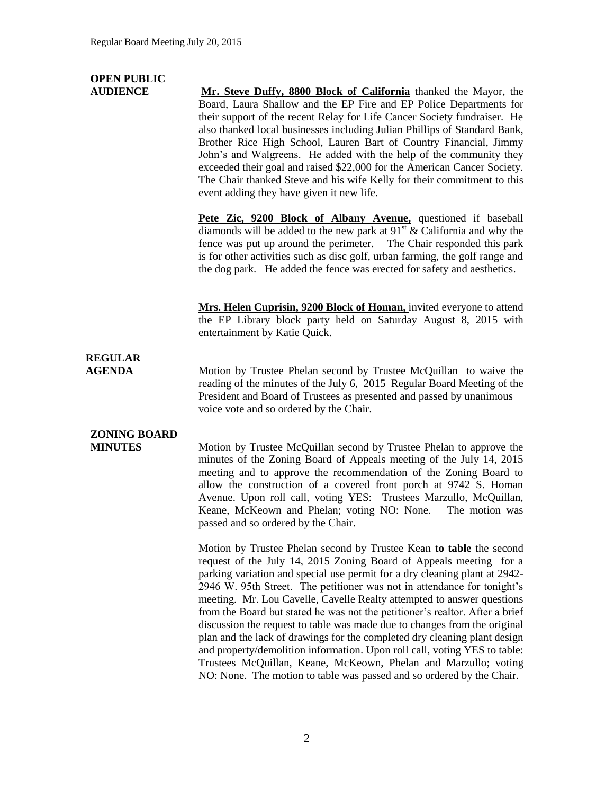# **OPEN PUBLIC**

**AUDIENCE Mr. Steve Duffy, 8800 Block of California** thanked the Mayor, the Board, Laura Shallow and the EP Fire and EP Police Departments for their support of the recent Relay for Life Cancer Society fundraiser. He also thanked local businesses including Julian Phillips of Standard Bank, Brother Rice High School, Lauren Bart of Country Financial, Jimmy John's and Walgreens. He added with the help of the community they exceeded their goal and raised \$22,000 for the American Cancer Society. The Chair thanked Steve and his wife Kelly for their commitment to this event adding they have given it new life.

> **Pete Zic, 9200 Block of Albany Avenue,** questioned if baseball diamonds will be added to the new park at  $91<sup>st</sup>$  & California and why the fence was put up around the perimeter. The Chair responded this park is for other activities such as disc golf, urban farming, the golf range and the dog park. He added the fence was erected for safety and aesthetics.

> **Mrs. Helen Cuprisin, 9200 Block of Homan,** invited everyone to attend the EP Library block party held on Saturday August 8, 2015 with entertainment by Katie Quick.

# **REGULAR**

**AGENDA Motion by Trustee Phelan second by Trustee McQuillan** to waive the reading of the minutes of the July 6, 2015 Regular Board Meeting of the President and Board of Trustees as presented and passed by unanimous voice vote and so ordered by the Chair.

## **ZONING BOARD**

**MINUTES** Motion by Trustee McQuillan second by Trustee Phelan to approve the minutes of the Zoning Board of Appeals meeting of the July 14, 2015 meeting and to approve the recommendation of the Zoning Board to allow the construction of a covered front porch at 9742 S. Homan Avenue. Upon roll call, voting YES: Trustees Marzullo, McQuillan, Keane, McKeown and Phelan; voting NO: None. The motion was passed and so ordered by the Chair.

> Motion by Trustee Phelan second by Trustee Kean **to table** the second request of the July 14, 2015 Zoning Board of Appeals meeting for a parking variation and special use permit for a dry cleaning plant at 2942- 2946 W. 95th Street. The petitioner was not in attendance for tonight's meeting. Mr. Lou Cavelle, Cavelle Realty attempted to answer questions from the Board but stated he was not the petitioner's realtor. After a brief discussion the request to table was made due to changes from the original plan and the lack of drawings for the completed dry cleaning plant design and property/demolition information. Upon roll call, voting YES to table: Trustees McQuillan, Keane, McKeown, Phelan and Marzullo; voting NO: None. The motion to table was passed and so ordered by the Chair.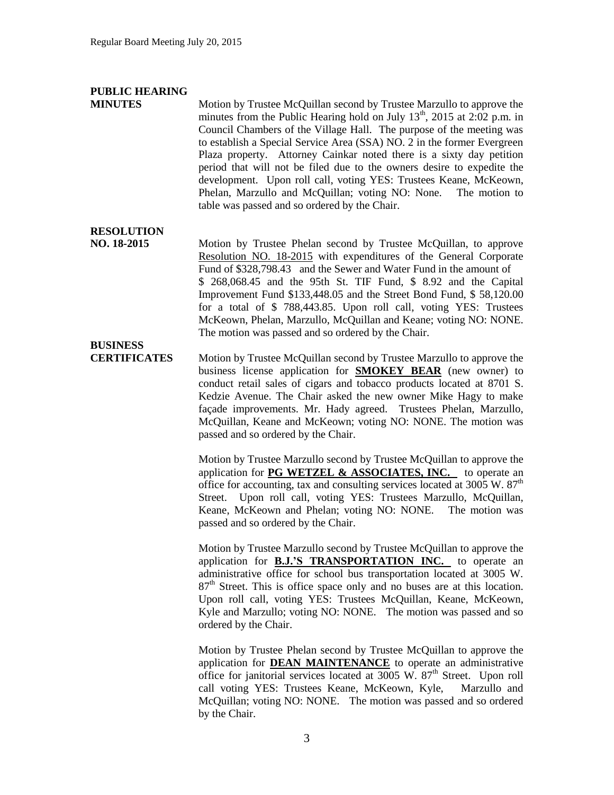### **PUBLIC HEARING**

**MINUTES** Motion by Trustee McQuillan second by Trustee Marzullo to approve the minutes from the Public Hearing hold on July  $13<sup>th</sup>$ , 2015 at 2:02 p.m. in Council Chambers of the Village Hall. The purpose of the meeting was to establish a Special Service Area (SSA) NO. 2 in the former Evergreen Plaza property. Attorney Cainkar noted there is a sixty day petition period that will not be filed due to the owners desire to expedite the development. Upon roll call, voting YES: Trustees Keane, McKeown, Phelan, Marzullo and McQuillan; voting NO: None. The motion to table was passed and so ordered by the Chair.

#### **RESOLUTION**

**NO. 18-2015** Motion by Trustee Phelan second by Trustee McQuillan, to approve Resolution NO. 18-2015 with expenditures of the General Corporate Fund of \$328,798.43 and the Sewer and Water Fund in the amount of \$ 268,068.45 and the 95th St. TIF Fund, \$ 8.92 and the Capital Improvement Fund \$133,448.05 and the Street Bond Fund, \$ 58,120.00 for a total of \$ 788,443.85. Upon roll call, voting YES: Trustees McKeown, Phelan, Marzullo, McQuillan and Keane; voting NO: NONE. The motion was passed and so ordered by the Chair.

#### **BUSINESS CERTIFICATES** Motion by Trustee McQuillan second by Trustee Marzullo to approve the business license application for **SMOKEY BEAR** (new owner) to conduct retail sales of cigars and tobacco products located at 8701 S. Kedzie Avenue. The Chair asked the new owner Mike Hagy to make façade improvements. Mr. Hady agreed. Trustees Phelan, Marzullo, McQuillan, Keane and McKeown; voting NO: NONE. The motion was passed and so ordered by the Chair.

Motion by Trustee Marzullo second by Trustee McQuillan to approve the application for **PG WETZEL & ASSOCIATES, INC.** to operate an office for accounting, tax and consulting services located at  $3005 \text{ W}$ .  $87^{\text{th}}$ Street. Upon roll call, voting YES: Trustees Marzullo, McQuillan, Keane, McKeown and Phelan; voting NO: NONE. The motion was passed and so ordered by the Chair.

Motion by Trustee Marzullo second by Trustee McQuillan to approve the application for **B.J.'S TRANSPORTATION INC.** to operate an administrative office for school bus transportation located at 3005 W. 87<sup>th</sup> Street. This is office space only and no buses are at this location. Upon roll call, voting YES: Trustees McQuillan, Keane, McKeown, Kyle and Marzullo; voting NO: NONE. The motion was passed and so ordered by the Chair.

Motion by Trustee Phelan second by Trustee McQuillan to approve the application for **DEAN MAINTENANCE** to operate an administrative office for janitorial services located at  $3005 \text{ W}$ .  $87^{\text{th}}$  Street. Upon roll call voting YES: Trustees Keane, McKeown, Kyle, Marzullo and McQuillan; voting NO: NONE. The motion was passed and so ordered by the Chair.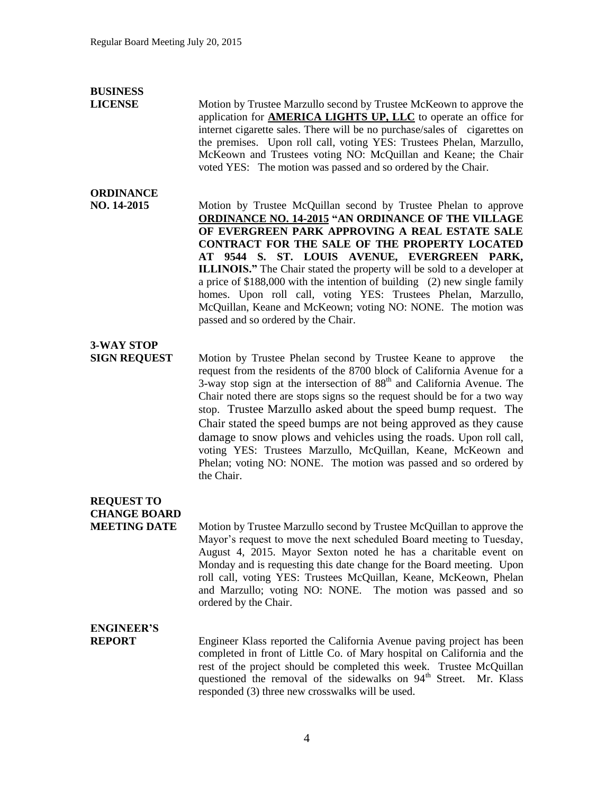### **BUSINESS**

**LICENSE** Motion by Trustee Marzullo second by Trustee McKeown to approve the application for **AMERICA LIGHTS UP, LLC** to operate an office for internet cigarette sales. There will be no purchase/sales of cigarettes on the premises. Upon roll call, voting YES: Trustees Phelan, Marzullo, McKeown and Trustees voting NO: McQuillan and Keane; the Chair voted YES: The motion was passed and so ordered by the Chair.

### **ORDINANCE**

**NO. 14-2015** Motion by Trustee McQuillan second by Trustee Phelan to approve **ORDINANCE NO. 14-2015 "AN ORDINANCE OF THE VILLAGE OF EVERGREEN PARK APPROVING A REAL ESTATE SALE CONTRACT FOR THE SALE OF THE PROPERTY LOCATED AT 9544 S. ST. LOUIS AVENUE, EVERGREEN PARK, ILLINOIS."** The Chair stated the property will be sold to a developer at a price of \$188,000 with the intention of building (2) new single family homes. Upon roll call, voting YES: Trustees Phelan, Marzullo, McQuillan, Keane and McKeown; voting NO: NONE. The motion was passed and so ordered by the Chair.

## **3-WAY STOP**

**SIGN REQUEST** Motion by Trustee Phelan second by Trustee Keane to approve the request from the residents of the 8700 block of California Avenue for a  $3$ -way stop sign at the intersection of  $88<sup>th</sup>$  and California Avenue. The Chair noted there are stops signs so the request should be for a two way stop. Trustee Marzullo asked about the speed bump request. The Chair stated the speed bumps are not being approved as they cause damage to snow plows and vehicles using the roads. Upon roll call, voting YES: Trustees Marzullo, McQuillan, Keane, McKeown and Phelan; voting NO: NONE. The motion was passed and so ordered by the Chair.

### **REQUEST TO CHANGE BOARD**

**MEETING DATE** Motion by Trustee Marzullo second by Trustee McQuillan to approve the Mayor's request to move the next scheduled Board meeting to Tuesday, August 4, 2015. Mayor Sexton noted he has a charitable event on Monday and is requesting this date change for the Board meeting. Upon roll call, voting YES: Trustees McQuillan, Keane, McKeown, Phelan and Marzullo; voting NO: NONE. The motion was passed and so ordered by the Chair.

### **ENGINEER'S**

**REPORT** Engineer Klass reported the California Avenue paving project has been completed in front of Little Co. of Mary hospital on California and the rest of the project should be completed this week. Trustee McQuillan questioned the removal of the sidewalks on 94<sup>th</sup> Street. Mr. Klass responded (3) three new crosswalks will be used.